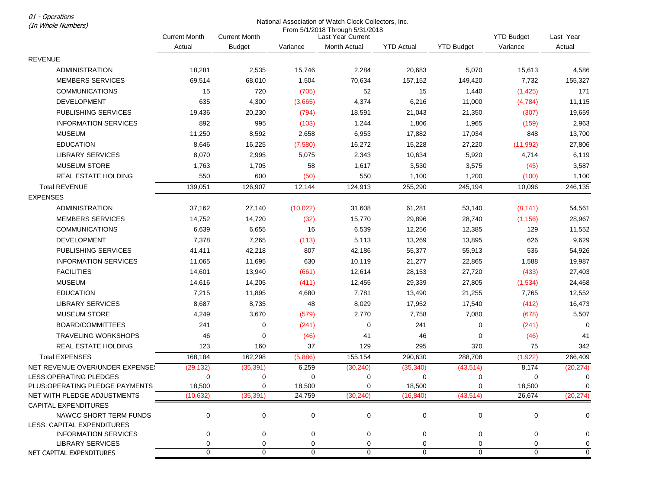01 - Operations

## National Association of Watch Clock Collectors, Inc.

| (In Whole Numbers)                                          | National Association of Watch Clock Collectors, Inc. |                      |                |                                                      |                   |                   |                   |                |
|-------------------------------------------------------------|------------------------------------------------------|----------------------|----------------|------------------------------------------------------|-------------------|-------------------|-------------------|----------------|
|                                                             | <b>Current Month</b>                                 | <b>Current Month</b> |                | From 5/1/2018 Through 5/31/2018<br>Last Year Current |                   |                   | <b>YTD Budget</b> | Last Year      |
|                                                             | Actual                                               | <b>Budget</b>        | Variance       | Month Actual                                         | <b>YTD Actual</b> | <b>YTD Budget</b> | Variance          | Actual         |
| <b>REVENUE</b>                                              |                                                      |                      |                |                                                      |                   |                   |                   |                |
| <b>ADMINISTRATION</b>                                       | 18,281                                               | 2,535                | 15,746         | 2,284                                                | 20,683            | 5,070             | 15,613            | 4,586          |
| <b>MEMBERS SERVICES</b>                                     | 69,514                                               | 68,010               | 1,504          | 70,634                                               | 157,152           | 149,420           | 7,732             | 155,327        |
| <b>COMMUNICATIONS</b>                                       | 15                                                   | 720                  | (705)          | 52                                                   | 15                | 1,440             | (1, 425)          | 171            |
| <b>DEVELOPMENT</b>                                          | 635                                                  | 4,300                | (3,665)        | 4,374                                                | 6,216             | 11,000            | (4, 784)          | 11,115         |
| PUBLISHING SERVICES                                         | 19,436                                               | 20,230               | (794)          | 18,591                                               | 21,043            | 21,350            | (307)             | 19,659         |
| <b>INFORMATION SERVICES</b>                                 | 892                                                  | 995                  | (103)          | 1,244                                                | 1,806             | 1,965             | (159)             | 2,963          |
| <b>MUSEUM</b>                                               | 11,250                                               | 8,592                | 2,658          | 6,953                                                | 17,882            | 17,034            | 848               | 13,700         |
| <b>EDUCATION</b>                                            | 8,646                                                | 16,225               | (7,580)        | 16,272                                               | 15,228            | 27,220            | (11, 992)         | 27,806         |
| <b>LIBRARY SERVICES</b>                                     | 8,070                                                | 2,995                | 5,075          | 2,343                                                | 10,634            | 5,920             | 4,714             | 6,119          |
| <b>MUSEUM STORE</b>                                         | 1,763                                                | 1,705                | 58             | 1,617                                                | 3,530             | 3,575             | (45)              | 3,587          |
| REAL ESTATE HOLDING                                         | 550                                                  | 600                  | (50)           | 550                                                  | 1,100             | 1,200             | (100)             | 1,100          |
| <b>Total REVENUE</b>                                        | 139,051                                              | 126,907              | 12,144         | 124,913                                              | 255,290           | 245,194           | 10,096            | 246,135        |
| <b>EXPENSES</b>                                             |                                                      |                      |                |                                                      |                   |                   |                   |                |
| <b>ADMINISTRATION</b>                                       | 37,162                                               | 27,140               | (10, 022)      | 31,608                                               | 61,281            | 53,140            | (8, 141)          | 54,561         |
| <b>MEMBERS SERVICES</b>                                     | 14,752                                               | 14,720               | (32)           | 15,770                                               | 29,896            | 28,740            | (1, 156)          | 28,967         |
| <b>COMMUNICATIONS</b>                                       | 6,639                                                | 6,655                | 16             | 6,539                                                | 12,256            | 12,385            | 129               | 11,552         |
| <b>DEVELOPMENT</b>                                          | 7,378                                                | 7,265                | (113)          | 5,113                                                | 13,269            | 13,895            | 626               | 9,629          |
| PUBLISHING SERVICES                                         | 41,411                                               | 42,218               | 807            | 42,186                                               | 55,377            | 55,913            | 536               | 54,926         |
| <b>INFORMATION SERVICES</b>                                 | 11,065                                               | 11,695               | 630            | 10,119                                               | 21,277            | 22,865            | 1,588             | 19,987         |
| <b>FACILITIES</b>                                           | 14,601                                               | 13,940               | (661)          | 12,614                                               | 28,153            | 27,720            | (433)             | 27,403         |
| <b>MUSEUM</b>                                               | 14,616                                               | 14,205               | (411)          | 12,455                                               | 29,339            | 27,805            | (1,534)           | 24,468         |
| <b>EDUCATION</b>                                            | 7,215                                                | 11,895               | 4,680          | 7,781                                                | 13,490            | 21,255            | 7,765             | 12,552         |
| <b>LIBRARY SERVICES</b>                                     | 8,687                                                | 8,735                | 48             | 8,029                                                | 17,952            | 17,540            | (412)             | 16,473         |
| <b>MUSEUM STORE</b>                                         | 4,249                                                | 3,670                | (579)          | 2,770                                                | 7,758             | 7,080             | (678)             | 5,507          |
| <b>BOARD/COMMITTEES</b>                                     | 241                                                  | 0                    | (241)          | 0                                                    | 241               | 0                 | (241)             | $\mathbf 0$    |
| TRAVELING WORKSHOPS                                         | 46                                                   | 0                    | (46)           | 41                                                   | 46                | 0                 | (46)              | 41             |
| REAL ESTATE HOLDING                                         | 123                                                  | 160                  | 37             | 129                                                  | 295               | 370               | 75                | 342            |
| <b>Total EXPENSES</b>                                       | 168,184                                              | 162,298              | (5,886)        | 155,154                                              | 290,630           | 288,708           | (1,922)           | 266,409        |
| NET REVENUE OVER/UNDER EXPENSE!                             | (29, 132)                                            | (35, 391)            | 6,259          | (30, 240)                                            | (35, 340)         | (43, 514)         | 8,174             | (20, 274)      |
| LESS: OPERATING PLEDGES                                     | $\mathbf 0$                                          | 0                    | 0              | 0                                                    | 0                 | $\mathbf 0$       | 0                 | $\mathbf 0$    |
| PLUS: OPERATING PLEDGE PAYMENTS                             | 18,500                                               | $\Omega$             | 18,500         | 0                                                    | 18,500            | $\Omega$          | 18,500            | $\Omega$       |
| NET WITH PLEDGE ADJUSTMENTS                                 | (10, 632)                                            | (35, 391)            | 24,759         | (30, 240)                                            | (16, 840)         | (43, 514)         | 26,674            | (20, 274)      |
| <b>CAPITAL EXPENDITURES</b>                                 |                                                      |                      |                |                                                      |                   |                   |                   |                |
| NAWCC SHORT TERM FUNDS<br><b>LESS: CAPITAL EXPENDITURES</b> | 0                                                    | 0                    | $\mathbf 0$    | 0                                                    | $\mathbf 0$       | $\mathbf 0$       | $\mathbf 0$       | 0              |
| <b>INFORMATION SERVICES</b>                                 | 0                                                    | 0                    | 0              | $\pmb{0}$                                            | 0                 | $\pmb{0}$         | $\mathbf 0$       | $\Omega$       |
| <b>LIBRARY SERVICES</b>                                     | 0                                                    | 0                    | 0              | 0                                                    | 0                 | 0                 | 0                 | 0              |
| NET CAPITAL EXPENDITURES                                    | $\overline{0}$                                       | $\overline{0}$       | $\overline{0}$ | $\overline{0}$                                       | $\overline{0}$    | $\overline{0}$    | $\mathbf{0}$      | $\overline{0}$ |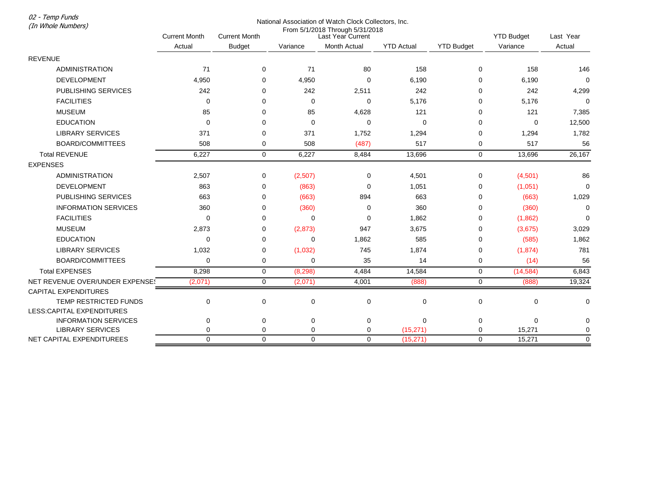02 - Temp Funds

| runp runus<br>(In Whole Numbers) | National Association of Watch Clock Collectors, Inc. |                      |                                                      |              |                   |                   |                   |             |
|----------------------------------|------------------------------------------------------|----------------------|------------------------------------------------------|--------------|-------------------|-------------------|-------------------|-------------|
|                                  | <b>Current Month</b>                                 | <b>Current Month</b> | From 5/1/2018 Through 5/31/2018<br>Last Year Current |              |                   |                   | <b>YTD Budget</b> | Last Year   |
|                                  | Actual                                               | <b>Budget</b>        | Variance                                             | Month Actual | <b>YTD Actual</b> | <b>YTD Budget</b> | Variance          | Actual      |
| <b>REVENUE</b>                   |                                                      |                      |                                                      |              |                   |                   |                   |             |
| <b>ADMINISTRATION</b>            | 71                                                   | $\mathbf 0$          | 71                                                   | 80           | 158               | 0                 | 158               | 146         |
| <b>DEVELOPMENT</b>               | 4,950                                                | 0                    | 4,950                                                | $\mathbf 0$  | 6,190             | 0                 | 6,190             | $\mathbf 0$ |
| PUBLISHING SERVICES              | 242                                                  | 0                    | 242                                                  | 2,511        | 242               | $\Omega$          | 242               | 4,299       |
| <b>FACILITIES</b>                | $\Omega$                                             | 0                    | $\Omega$                                             | $\mathbf 0$  | 5,176             | 0                 | 5,176             | $\Omega$    |
| <b>MUSEUM</b>                    | 85                                                   | 0                    | 85                                                   | 4,628        | 121               | 0                 | 121               | 7,385       |
| <b>EDUCATION</b>                 | $\Omega$                                             | 0                    | 0                                                    | 0            | 0                 | 0                 | 0                 | 12,500      |
| <b>LIBRARY SERVICES</b>          | 371                                                  | $\Omega$             | 371                                                  | 1,752        | 1,294             | 0                 | 1,294             | 1,782       |
| <b>BOARD/COMMITTEES</b>          | 508                                                  | 0                    | 508                                                  | (487)        | 517               | 0                 | 517               | 56          |
| <b>Total REVENUE</b>             | 6,227                                                | $\mathbf 0$          | 6,227                                                | 8,484        | 13,696            | $\mathbf 0$       | 13,696            | 26,167      |
| <b>EXPENSES</b>                  |                                                      |                      |                                                      |              |                   |                   |                   |             |
| <b>ADMINISTRATION</b>            | 2,507                                                | 0                    | (2,507)                                              | 0            | 4,501             | 0                 | (4,501)           | 86          |
| <b>DEVELOPMENT</b>               | 863                                                  | $\Omega$             | (863)                                                | $\mathbf 0$  | 1,051             | 0                 | (1,051)           | $\mathbf 0$ |
| <b>PUBLISHING SERVICES</b>       | 663                                                  | $\Omega$             | (663)                                                | 894          | 663               | 0                 | (663)             | 1,029       |
| <b>INFORMATION SERVICES</b>      | 360                                                  | 0                    | (360)                                                | 0            | 360               | 0                 | (360)             | $\mathbf 0$ |
| <b>FACILITIES</b>                | $\Omega$                                             | 0                    | 0                                                    | 0            | 1,862             | 0                 | (1,862)           | $\mathbf 0$ |
| <b>MUSEUM</b>                    | 2,873                                                | $\Omega$             | (2,873)                                              | 947          | 3,675             | 0                 | (3,675)           | 3,029       |
| <b>EDUCATION</b>                 | $\Omega$                                             | $\Omega$             | $\Omega$                                             | 1,862        | 585               | 0                 | (585)             | 1,862       |
| <b>LIBRARY SERVICES</b>          | 1,032                                                | 0                    | (1,032)                                              | 745          | 1,874             | 0                 | (1,874)           | 781         |
| <b>BOARD/COMMITTEES</b>          | $\mathbf 0$                                          | 0                    | $\mathbf 0$                                          | 35           | 14                | 0                 | (14)              | 56          |
| <b>Total EXPENSES</b>            | 8,298                                                | 0                    | (8, 298)                                             | 4,484        | 14,584            | $\mathbf 0$       | (14, 584)         | 6,843       |
| NET REVENUE OVER/UNDER EXPENSE!  | (2,071)                                              | $\mathbf 0$          | (2,071)                                              | 4,001        | (888)             | $\mathbf 0$       | (888)             | 19,324      |
| <b>CAPITAL EXPENDITURES</b>      |                                                      |                      |                                                      |              |                   |                   |                   |             |
| TEMP RESTRICTED FUNDS            | 0                                                    | $\mathbf 0$          | $\mathbf 0$                                          | $\mathbf 0$  | 0                 | 0                 | 0                 | 0           |
| LESS: CAPITAL EXPENDITURES       |                                                      |                      |                                                      |              |                   |                   |                   |             |
| <b>INFORMATION SERVICES</b>      | 0                                                    | 0                    | 0                                                    | 0            | 0                 | 0                 | 0                 | $\mathbf 0$ |
| <b>LIBRARY SERVICES</b>          | $\Omega$                                             | $\mathbf 0$          | 0                                                    | $\mathbf 0$  | (15, 271)         | $\mathbf 0$       | 15,271            | $\mathbf 0$ |
| NET CAPITAL EXPENDITUREES        | $\Omega$                                             | $\Omega$             | $\Omega$                                             | $\Omega$     | (15, 271)         | $\Omega$          | 15.271            | $\Omega$    |